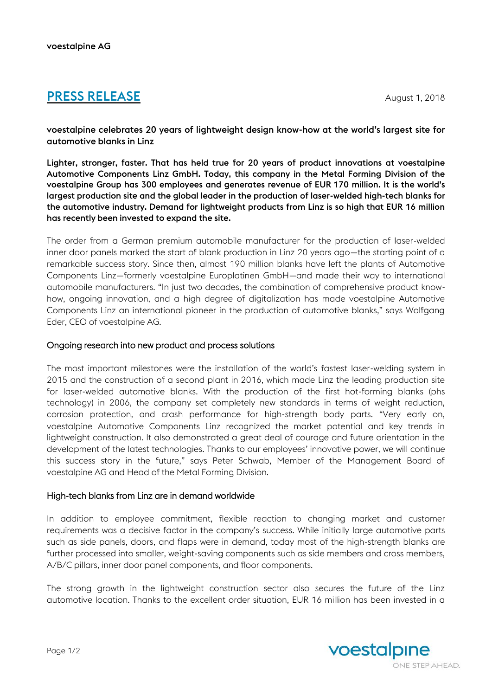# **PRESS RELEASE** August 1, 2018

voestalpine celebrates 20 years of lightweight design know-how at the world's largest site for automotive blanks in Linz

Lighter, stronger, faster. That has held true for 20 years of product innovations at voestalpine Automotive Components Linz GmbH. Today, this company in the Metal Forming Division of the voestalpine Group has 300 employees and generates revenue of EUR 170 million. It is the world's largest production site and the global leader in the production of laser-welded high-tech blanks for the automotive industry. Demand for lightweight products from Linz is so high that EUR 16 million has recently been invested to expand the site.

The order from a German premium automobile manufacturer for the production of laser-welded inner door panels marked the start of blank production in Linz 20 years ago—the starting point of a remarkable success story. Since then, almost 190 million blanks have left the plants of Automotive Components Linz—formerly voestalpine Europlatinen GmbH—and made their way to international automobile manufacturers. "In just two decades, the combination of comprehensive product knowhow, ongoing innovation, and a high degree of digitalization has made voestalpine Automotive Components Linz an international pioneer in the production of automotive blanks," says Wolfgang Eder, CEO of voestalpine AG.

## Ongoing research into new product and process solutions

The most important milestones were the installation of the world's fastest laser-welding system in 2015 and the construction of a second plant in 2016, which made Linz the leading production site for laser-welded automotive blanks. With the production of the first hot-forming blanks (phs technology) in 2006, the company set completely new standards in terms of weight reduction, corrosion protection, and crash performance for high-strength body parts. "Very early on, voestalpine Automotive Components Linz recognized the market potential and key trends in lightweight construction. It also demonstrated a great deal of courage and future orientation in the development of the latest technologies. Thanks to our employees' innovative power, we will continue this success story in the future," says Peter Schwab, Member of the Management Board of voestalpine AG and Head of the Metal Forming Division.

## High-tech blanks from Linz are in demand worldwide

In addition to employee commitment, flexible reaction to changing market and customer requirements was a decisive factor in the company's success. While initially large automotive parts such as side panels, doors, and flaps were in demand, today most of the high-strength blanks are further processed into smaller, weight-saving components such as side members and cross members, A/B/C pillars, inner door panel components, and floor components.

The strong growth in the lightweight construction sector also secures the future of the Linz automotive location. Thanks to the excellent order situation, EUR 16 million has been invested in a